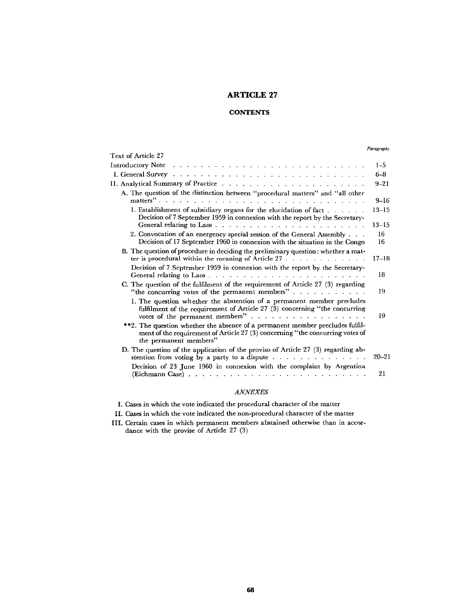# **ARTICLE 27**

### **CONTENTS**

#### *Paragraphs*

| Text of Article 27                                                                                                                                                                       |                        |
|------------------------------------------------------------------------------------------------------------------------------------------------------------------------------------------|------------------------|
| Introductory Note <i>and a series and a series and a series and a series</i> and a series and a series and a series and                                                                  | $1 - 5$                |
|                                                                                                                                                                                          | $6 - 8$                |
|                                                                                                                                                                                          | $9 - 21$               |
| A. The question of the distinction between "procedural matters" and "all other<br>matters"                                                                                               | $9 - 16$               |
| 1. Establishment of subsidiary organs for the elucidation of fact<br>Decision of 7 September 1959 in connexion with the report by the Secretary-                                         | $13 - 15$<br>$13 - 15$ |
| 2. Convocation of an energency special session of the General Assembly<br>Decision of 17 September 1960 in connexion with the situation in the Congo                                     | 16<br>16               |
| B. The question of procedure in deciding the preliminary question: whether a mat-<br>ter is procedural within the meaning of Article $27 \ldots \ldots \ldots$                           | $17 - 18$              |
| Decision of 7 September 1959 in connexion with the report by the Secretary-                                                                                                              | 18                     |
| C. The question of the fulfilment of the requirement of Article 27 (3) regarding<br>"the concurring votes of the permanent members"                                                      | 19                     |
| 1. The question whether the abstention of a permanent member precludes<br>fulfilment of the requirement of Article 27 (3) concerning "the concurring<br>votes of the permanent members"  | 19                     |
| **2. The question whether the absence of a permanent member precludes fulfil-<br>ment of the requirement of Article 27 (3) concerning "the concurring votes of<br>the permanent members" |                        |
| D. The question of the application of the proviso of Article 27 (3) regarding ab-                                                                                                        | $20 - 21$              |
| Decision of 23 June 1960 in connexion with the complaint by Argentina                                                                                                                    | 21                     |

## *ANNEXES*

I. Cases in which the vote indicated the procedural character of the matter

- II. Cases in which the vote indicated the non-procedural character of the matter
- III. Certain cases in which permanent members abstained otherwise than in accordance with the provise of Article 27 (3)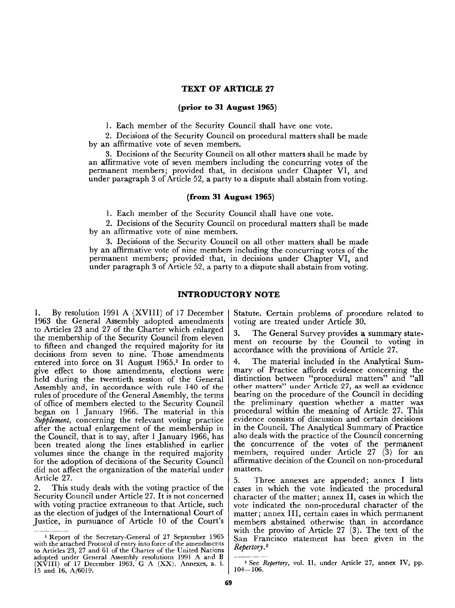### **TEXT OF ARTICLE 27**

#### **(prior to 31 August 1965)**

1. Each member of the Security Council shall have one vote.

2. Decisions of the Security Council on procedural matters shall be made by an affirmative vote of seven members.

3. Decisions of the Security Council on all other matters shall be made by an affirmative vote of seven members including the concurring votes of the permanent members; provided that, in decisions under Chapter VI, and under paragraph 3 of Article 52, a party to a dispute shall abstain from voting.

### **(from 31 August 1965)**

1. Each member of the Security Council shall have one vote.

2. Decisions of the Security Council on procedural matters shall be made by an affirmative vote of nine members.

3. Decisions of the Security Council on all other matters shall be made by an affirmative vote of nine members including the concurring votes of the permanent members; provided that, in decisions under Chapter VI, and under paragraph 3 of Article 52, a party to a dispute shall abstain from voting.

## **INTRODUCTORY NOTE**

1. By resolution 1991 A (XVIII) of 17 December 1963 the General Assembly adopted amendments to Articles 23 and 27 of the Charter which enlarged the membership of the Security Council from eleven to fifteen and changed the required majority for its decisions from seven to nine. Those amendments entered into force on 31 August 1965.<sup>1</sup> In order to give effect to those amendments, elections were held during the twentieth session of the General Assembly and, in accordance with rule 140 of the rules of procedure of the General Assembly, the terms of office of members elected to the Security Council began on 1 January 1966. The material in this *Supplement,* concerning the relevant voting practice after the actual enlargement of the membership in the Council, that is to say, after 1 January 1966, has been treated along the lines established in earlier volumes since the change in the required majority for the adoption of decisions of the Security Council did not affect the organization of the material under Article 27.

2. This study deals with the voting practice of the Security Council under Article 27. It is not concerned with voting practice extraneous to that Article, such as the election of judges of the International Court of Justice, in pursuance of Article 10 of the Court's Statute. Certain problems of procedure related to voting are treated under Article 30.

3. The General Survey provides a summary statement on recourse by the Council to voting in accordance with the provisions of Article 27.

4. The material included in the Analytical Summary of Practice affords evidence concerning the distinction between "procedural matters" and "all other matters" under Article 27, as well as evidence bearing on the procedure of the Council in deciding the preliminary question whether a matter was procedural within the meaning of Article 27. This evidence consists of discussion and certain decisions in the Council. The Analytical Summary of Practice also deals with the practice of the Council concerning the concurrence of the votes of the permanent members, required under Article 27 (3) for an affirmative decision of the Council on non-procedural matters.

5. Three annexes are appended; annex I lists cases in which the vote indicated the procedural character of the matter; annex II, cases in which the vote indicated the non-procedural character of the matter; annex III, certain cases in which permanent members abstained otherwise than in accordance with the proviso of Article 27 (3). The text of the San Francisco statement has been given in the *Repertory,<sup>2</sup>*

**Report of the Secretary-General of 27 September 1965** with the attached Protocol of entry into force of the amendments to Articles 23, 27 and 61 of the Charter of the United Nations adopted under General Assembly resolutions 1991 A and B  $(XVIII)$  of 17 December 1963, G A  $(XX)$ , Annexes, a. i. 15 and 16, A/6019.

<sup>2</sup> See *Repertory,* vol. II, under Article 27, annex IV, pp. 104-106.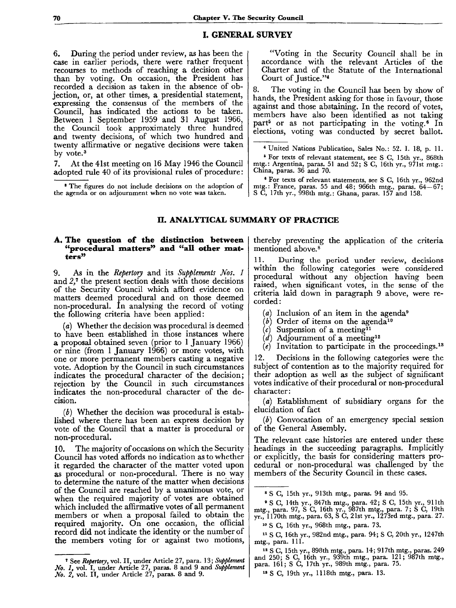### **I. GENERAL SURVEY**

6. During the period under review, as has been the case in earlier periods, there were rather frequent recourses to methods of reaching a decision other than by voting. On occasion, the President has recorded a decision as taken in the absence of objection, or, at other times, a presidential statement, expressing the consensus of the members of the Council, has indicated the actions to be taken. Between 1 September 1959 and 31 August 1966, the Council took approximately three hundred and twenty decisions, of which two hundred and twenty affirmative or negative decisions were taken by vote.<sup>3</sup>

7. At the 41st meeting on 16 May 1946 the Council adopted rule 40 of its provisional rules of procedure :

8 The figures do not include decisions on the adoption of the agenda or on adjournment when no vote was taken.

"Voting in the Security Council shall be in accordance with the relevant Articles of the Charter and of the Statute of the International Court of Justice."<sup>4</sup>

8. The voting in the Council has been by show of hands, the President asking for those in favour, those against and those abstaining. In the record of votes, members have also been identified as not taking part<sup>5</sup> or as not participating in the voting.<sup>6</sup> In elections, voting was conducted by secret ballot.

4 United Nations Publication, Sales No.: 52. I. 18, p. 11.

5 For texts of relevant statement, see S C, 15th yr., 868th mtg.: Argentina, paras. 51 and 52; S C, 16th yr., 971st mtg. : China, paras. 36 and 70.

8 For texts of relevant statements, see S C, 16th yr., 962nd mtg.: France, paras. 55 and 48; 966th mtg., paras. 64—67; S C, 17th yr., 998th mtg.: Ghana, paras. 157 and 158.

# **II. ANALYTICAL SUMMARY OF PRACTICE**

#### **A. The question of the distinction between "procedural matters" and "all other matters"**

9. As in the *Repertory* and its *Supplements Nos. 1* and *2,<sup>1</sup>* the present section deals with those decisions of the Security Council which afford evidence on matters deemed procedural and on those deemed non-procedural. In analysing the record of voting the following criteria have been applied:

*(a)* Whether the decision was procedural is deemed to have been established in those instances where a proposal obtained seven (prior to 1 January 1966) or nine (from 1 January 1966) or more votes, with one or more permanent members casting a negative vote. Adoption by the Council in such circumstances indicates the procedural character of the decision; rejection by the Council in such circumstances indicates the non-procedural character of the decision.

*(b)* Whether the decision was procedural is established where there has been an express decision by vote of the Council that a matter is procedural or non-procedural.

10. The majority of occasions on which the Security Council has voted affords no indication as to whether it regarded the character of the matter voted upon as procedural or non-procedural. There is no way to determine the nature of the matter when decisions of the Council are reached by a unanimous vote, or when the required majority of votes are obtained which included the affirmative votes of all permanent members or when a proposal failed to obtain the required majority. On one occasion, the official record did not indicate the identity or the number of the members voting for or against two motions,

thereby preventing the application of the criteria mentioned above.<sup>8</sup>

11. During the period under review, decisions within the following categories were considered procedural without any objection having been raised, when significant votes, in the sense of the criteria laid down in paragraph 9 above, were recorded :

*(a)* Inclusion of an item in the agenda<sup>9</sup>

- *(b}* Order of items on the agenda<sup>10</sup>
- *(c)* Suspension of a meeting<sup>11</sup>
- *(d)* Adjournment of a meeting<sup>12</sup>
- *(e)* Invitation to participate in the proceedings.<sup>13</sup>

12. Decisions in the following categories were the subject of contention as to the majority required for their adoption as well as the subject of significant votes indicative of their procedural or non-procedural character :

*(a)* Establishment of subsidiary organs for the elucidation of fact

*(b}* Convocation of an emergency special session of the General Assembly.

The relevant case histories are entered under these headings in the succeeding paragraphs. Implicitly or explicitly, the basis for considering matters procedural or non-procedural was challenged by the members of the Security Council in these cases.

<sup>7</sup> See *Repertory,* vol. II, under Article 27, para. 13; *Supplement No. 1,* vol. I, under Article 27, paras. 8 and 9 and *Supplement No. 2,* vol. II, under Article 27, paras. 8 and 9.

<sup>8</sup> S C, 15th yr., 913th mtg., paras. 94 and 95.

<sup>9</sup> S C, 14th yr., 847th mtg., para. 42; S C, 15th yr., 911th mtg., para. 97, S G, 16th yr., 987th mtg., para. 7; S G, 19th yr., 1170th mtg., para. 63, S C, 21st yr., 1273rd mtg., para. 27.

<sup>10</sup> S C, 16th yr., 968th mtg., para. 73.

<sup>&</sup>lt;sup>11</sup> S C, 16th yr., 982nd mtg., para. 94; S C, 20th yr., 1247th mtg., para. 111.

<sup>12</sup> S C, 15th yr., 898th mtg., para. 14; 917th mtg., paras. 249 and 250; S C, 16th yr., 939th mtg., para. 121; 987th mtg., para. 161; S C, 17th yr., 989th mtg., para. 75.

<sup>13</sup> S G, 19th yr., 1118th mtg., para. 13.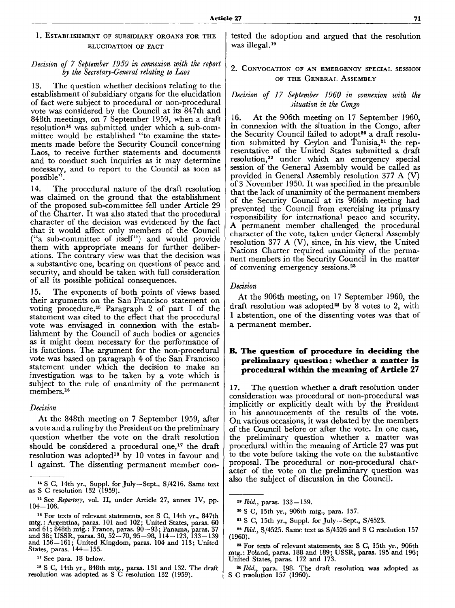## 1. ESTABLISHMENT OF SUBSIDIARY ORGANS FOR THE ELUCIDATION OF FACT

### *Decision of 7 September 1959 in connexion with the report by the Secretary-General relating to Laos*

13. The question whether decisions relating to the establishment of subsidiary organs for the elucidation of fact were subject to procedural or non-procedural vote was considered by the Council at its 847th and 848th meetings, on 7 September 1959, when a draft resolution<sup>14</sup> was submitted under which a sub-committee would be established "to examine the statements made before the Security Council concerning Laos, to receive further statements and documents and to conduct such inquiries as it may determine necessary, and to report to the Council as soon as possible"

14. The procedural nature of the draft resolution was claimed on the ground that the establishment of the proposed sub-committee fell under Article 29 of the Charter. It was also stated that the procedural character of the decision was evidenced by the fact that it would affect only members of the Council ("a sub-committee of itself") and would provide them with appropriate means for further deliberations. The contrary view was that the decision was a substantive one, bearing on questions of peace and security, and should be taken with full consideration of all its possible political consequences.

15. The exponents of both points of views based their arguments on the San Francisco statement on voting procedure.<sup>15</sup> Paragraph 2 of part I of the statement was cited to the effect that the procedural vote was envisaged in connexion with the establishment by the Council of such bodies or agencies as it might deem necessary for the performance of its functions. The argument for the non-procedural vote was based on paragraph 4 of the San Francisco statement under which the decision to make an investigation was to be taken by a vote which is subject to the rule of unanimity of the permanent members.<sup>16</sup>

#### *Decision*

At the 848th meeting on 7 September 1959, after a vote and a ruling by the President on the preliminary question whether the vote on the draft resolution should be considered a procedural one,<sup>17</sup> the draft resolution was adopted<sup>18</sup> by 10 votes in favour and 1 against. The dissenting permanent member con-

<sup>17</sup> See para. 18 below.

18 S C, 14th yr., 848th mtg., paras. 131 and 132. The draft resolution was adopted as S G resolution 132 (1959).

tested the adoption and argued that the resolution was illegal.<sup>19</sup>

## 2. CONVOCATION OF AN EMERGENCY SPECIAL SESSION OF THE GENERAL ASSEMBLY

### *Decision of 17 September 1960 in connexion with the situation in the Congo*

16. At the 906th meeting on 17 September 1960, in connexion with the situation in the Congo, after the Security Council failed to adopt<sup>20</sup> a draft resolution submitted by Ceylon and Tunisia,<sup>21</sup> the representative of the United States submitted a draft resolution,<sup>22</sup> under which an emergency special session of the General Assembly would be called as provided in General Assembly resolution 377 A (V) of 3 November 1950. It was specified in the preamble that the lack of unanimity of the permanent members of the Security Council at its 906th meeting had prevented the Council from exercising its primary responsibility for international peace and security. A permanent member challenged the procedural character of the vote, taken under General Assembly resolution 377 A (V), since, in his view, the United Nations Charter required unanimity of the permanent members in the Security Council in the matter of convening emergency sessions.<sup>23</sup>

### *Decision*

At the 906th meeting, on 17 September 1960, the draft resolution was adopted<sup>24</sup> by 8 votes to 2, with 1 abstention, one of the dissenting votes was that of a permanent member.

## **B. The question of procedure in deciding the preliminary question: whether a matter is procedural within the meaning of Article 27**

17. The question whether a draft resolution under consideration was procedural or non-procedural was implicitly or explicitly dealt with by the President in his announcements of the results of the vote. On various occasions, it was debated by the members of the Council before or after the vote. In one case, the preliminary question whether a matter was procedural within the meaning of Article 27 was put to the vote before taking the vote on the substantive proposal. The procedural or non-procedural character of the vote on the preliminary question was also the subject of discussion in the Council.

<sup>14</sup> S C, 14th yr., Suppl. for July—Sept., S/4216. Same text as S G resolution 132 (1959).

<sup>15</sup> See *Repertory,* vol. II, under Article 27, annex IV, pp.  $104 - 106.$ 

<sup>&</sup>lt;sup>16</sup> For texts of relevant statements, see S C, 14th yr., 847th mtg. : Argentina, paras. 101 and 102; United States, paras. 60 and 61; 848th mtg.: France, paras. 90—93; Panama, paras. 37 and 38; USSR, paras. 30, 52-70, 95-98, 114-123, 133-139 and 156—161; United Kingdom, paras. 104 and 113; United States, paras. 144—155.

*<sup>&</sup>quot;Ibid.,* paras. 133-139.

<sup>20</sup> S C, 15th yr., 906th mtg., para. 157.

<sup>21</sup> S G, 15th yr., Suppl. for July-Sept., S/4523.

<sup>&</sup>lt;sup>22</sup> Ibid., S/4525. Same text as S/4526 and S C resolution 157 (1960).

<sup>28</sup> For texts of relevant statements, see S C, 15th yr., 906th mtg.: Poland, paras. 188 and 189; USSR, paras. 195 and 196; United States, paras. 172 and 173.

<sup>&</sup>lt;sup>34</sup> *Ibid.*, para. 198. The draft resolution was adopted as S C resolution 157 (1960).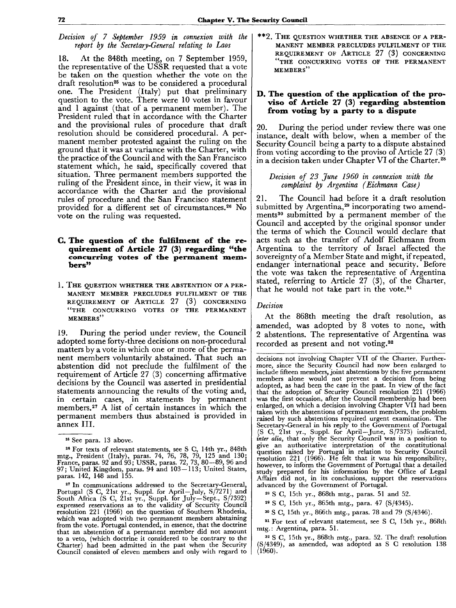*Decision of 7 September 1959 in connexion with the report by the Secretary-General relating to Laos*

18. At the 848th meeting, on 7 September 1959, the representative of the USSR requested that a vote be taken on the question whether the vote on the draft resolution<sup>25</sup> was to be considered a procedural one. The President (Italy) put that preliminary question to the vote. There were 10 votes in favour and 1 against (that of a permanent member). The President ruled that in accordance with the Charter and the provisional rules of procedure that draft resolution should be considered procedural. A permanent member protested against the ruling on the ground that it was at variance with the Charter, with the practice of the Council and with the San Francisco statement which, he said, specifically covered that situation. Three permanent members supported the ruling of the President since, in their view, it was in accordance with the Charter and the provisional rules of procedure and the San Francisco statement provided for a different set of circumstances.<sup>26</sup> No vote on the ruling was requested.

### **G. The question of the fulfilment of the requirement of Article 27 (3) regarding "the concurring votes of the permanent members»**

1. THE QUESTION WHETHER THE ABSTENTION OF A PER-MANENT MEMBER PRECLUDES FULFILMENT OF THE REQUIREMENT OF ARTICLE 27 (3) CONCERNING "THE CONCURRING VOTES OF THE PERMANENT MEMBERS"

19. During the period under review, the Council adopted some forty-three decisions on non-procedural matters by a vote in which one or more of the permanent members voluntarily abstained. That such an abstention did not preclude the fulfilment of the requirement of Article 27 (3) concerning affirmative decisions by the Council was asserted in presidential statements announcing the results of the voting and, in certain cases, in statements by permanent members.<sup>27</sup> A list of certain instances in which the permanent members thus abstained is provided in annex III.

<sup>26</sup> For texts of relevant statements, see S C, 14th yr., 848th mtg., President (Italy), paras. 74, 76, 78, 79, 125 and 130; France, paras. 92 and 93; USSR, paras. 72, 73, 80-89, 96 and 97; United Kingdom, paras. 94 and 103—113; United States, paras. 142, 148 and 155.

27 In communications addressed to the Secretary-General, Portugal (S C, 21st yr., Suppl. for April-July, S/7271) and South Africa (S C, 21st yr., Suppl. for July-Sept., S/7392) expressed reservations as to the validity of Security Council resolution 221 (1966) on the question of Southern Rhodesia, which was adopted with two permanent members abstaining from the vote. Portugal contended, in essence, that the doctrine that an abstention of a permanent member did not amount to a veto, (which doctrine it considered to be contrary to the Charter) had been admitted in the past when the Security Council consisted of eleven members and only with regard to \*\*2. THE QUESTION WHETHER THE ABSENCE OF A PER-MANENT MEMBER PRECLUDES FULFILMENT OF THE REQUIREMENT OF ARTICLE 27 (3) CONCERNING "THE CONCURRING VOTES OF THE PERMANENT MEMBERS"

### **D. The question of the application of the proviso of Article 27 (3) regarding abstention from voting by a party to a dispute**

20. During the period under review there was one instance, dealt with below, when a member of the Security Council being a party to a dispute abstained from voting according to the proviso of Article 27 (3) in a decision taken under Chapter VI of the Charter.<sup>28</sup>

### *Decision of 23 June 1960 in connexion with the complaint by Argentina (Eichmann Case)*

21. The Council had before it a draft resolution submitted by Argentina,<sup>29</sup> incorporating two amendments<sup>30</sup> submitted by a permanent member of the Council and accepted by the original sponsor under the terms of which the Council would declare that acts such as the transfer of Adolf Eichmann from Argentina to the territory of Israel affected the sovereignty of a Member State and might, if repeated, endanger international peace and security. Before the vote was taken the representative of Argentina stated, referring to Article 27 (3), of the Charter, that he would not take part in the vote.<sup>31</sup>

### *Decision*

At the 868th meeting the draft resolution, as amended, was adopted by 8 votes to none, with 2 abstentions. The representative of Argentina was recorded as present and not voting.<sup>32</sup>

decisions not involving Chapter VII of the Charter. Furthermore, since the Security Council had now been enlarged to include fifteen members, joint abstentions by the five permanent members alone would not prevent a decision from being adopted, as had been the case in the past. In view of the fact that the adoption of Security Council resolution 221 (1966) was the first occasion, after the Council membership had been enlarged, on which a decision involving Chapter VII had been taken with the abstentions of permanent members, the problem raised by such abstentions required urgent examination. The Secretary-General in his reply to the Government of Portugal (S C, 21st yr., Suppl. for April-June, S/7373) indicated, *inter alia,* that only the Security Council was in a position to give an authoritative interpretation of the constitutional question raised by Portugal in relation to Security Council resolution 221 (1966). He felt that it was his responsibility, however, to inform the Government of Portugal that a detailed study prepared for his information by the Office of Legal Affairs did not, in its conclusions, support the reservations advanced by the Government of Portugal.

28 S C, 15th yr., 868th mtg., paras. 51 and 52.

29 S C, 15th yr., 865th mtg., para. 47 (S/4345).

30 S C, 15th yr., 866th mtg., paras. 78 and 79 (S/4346).

<sup>31</sup> For text of relevant statement, see S C, 15th yr., 868th mtg.: Argentina, para. 51.

32 S C, 15th yr., 868th mtg., para. 52. The draft resolution S/4349), as amended, was adopted as S C resolution 138 (1960).

<sup>25</sup> See para. 13 above.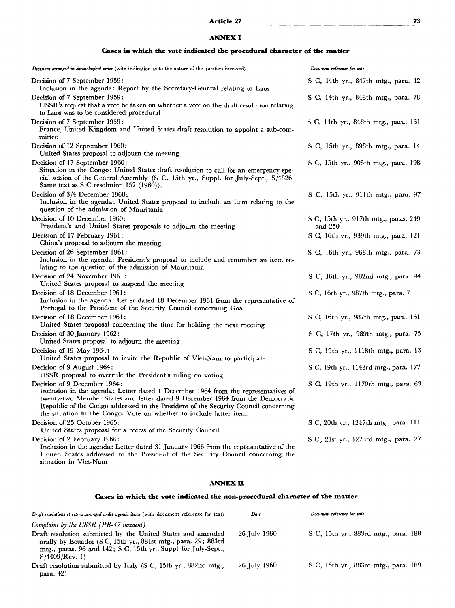# ANNEX I

|  |  |  |  |  |  |  | Cases in which the vote indicated the procedural character of the matter |  |  |  |  |  |
|--|--|--|--|--|--|--|--------------------------------------------------------------------------|--|--|--|--|--|
|--|--|--|--|--|--|--|--------------------------------------------------------------------------|--|--|--|--|--|

| Decisions arranged in chronological order (with indication as to the nature of the question involved)                                                                                                                                                                                                                                                            | Document reference for vote                      |
|------------------------------------------------------------------------------------------------------------------------------------------------------------------------------------------------------------------------------------------------------------------------------------------------------------------------------------------------------------------|--------------------------------------------------|
| Decision of 7 September 1959:<br>Inclusion in the agenda: Report by the Secretary-General relating to Laos                                                                                                                                                                                                                                                       | S C, 14th yr., 847th mtg., para. 42              |
| Decision of 7 September 1959:<br>USSR's request that a vote be taken on whether a vote on the draft resolution relating<br>to Laos was to be considered procedural                                                                                                                                                                                               | S C, 14th yr., 848th mtg., para. 78              |
| Decision of 7 September 1959:<br>France, United Kingdom and United States draft resolution to appoint a sub-com-<br>mittee                                                                                                                                                                                                                                       | S C, 14th yr., 848th mtg., para. 131             |
| Decision of 12 September 1960:<br>United States proposal to adjourn the meeting                                                                                                                                                                                                                                                                                  | S C, 15th yr., 898th mtg., para. 14              |
| Decision of 17 September 1960:<br>Situation in the Congo: United States draft resolution to call for an emergency spe-<br>cial session of the General Assembly (S C, 15th yr., Suppl. for July-Sept., S/4526.<br>Same text as S C resolution 157 $(1960)$ ).                                                                                                     | S C, 15th yr., 906th mtg., para. 198             |
| Decision of 3/4 December 1960:<br>Inclusion in the agenda: United States proposal to include an item relating to the<br>question of the admission of Mauritania                                                                                                                                                                                                  | S C, 15th yr., 911th mtg., para. 97              |
| Decision of 10 December 1960:<br>President's and United States proposals to adjourn the meeting                                                                                                                                                                                                                                                                  | S C, 15th yr., 917th mtg., paras. 249<br>and 250 |
| Decision of 17 February 1961:<br>China's proposal to adjourn the meeting                                                                                                                                                                                                                                                                                         | S C, 16th yr., 939th mtg., para. 121             |
| Decision of 26 September 1961:<br>Inclusion in the agenda: President's proposal to include and renumber an item re-<br>lating to the question of the admission of Mauritania                                                                                                                                                                                     | S C, 16th yr., 968th mtg., para. 73              |
| Decision of 24 November 1961:<br>United States proposal to suspend the meeting                                                                                                                                                                                                                                                                                   | S C, 16th yr., 982nd mtg., para. 94              |
| Decision of 18 December 1961:<br>Inclusion in the agenda: Letter dated 18 December 1961 from the representative of<br>Portugal to the President of the Security Council concerning Goa                                                                                                                                                                           | S C, 16th yr., 987th mtg., para. 7               |
| Decision of 18 December 1961:<br>United States proposal concerning the time for holding the next meeting                                                                                                                                                                                                                                                         | S C, 16th yr., 987th mtg., para. 161             |
| Decision of 30 January 1962:<br>United States proposal to adjourn the meeting                                                                                                                                                                                                                                                                                    | S C, 17th yr., 989th mtg., para. 75              |
| Decision of 19 May 1964:<br>United States proposal to invite the Republic of Viet-Nam to participate                                                                                                                                                                                                                                                             | S C, 19th yr., 1118th mtg., para. 13             |
| Decision of 9 August 1964:<br>USSR proposal to overrule the President's ruling on voting                                                                                                                                                                                                                                                                         | S C, 19th yr., 1143rd mtg., para. 177            |
| Decision of 9 December 1964:<br>Inclusion in the agenda: Letter dated 1 December 1964 from the representatives of<br>twenty-two Member States and letter dated 9 December 1964 from the Democratic<br>Republic of the Congo addressed to the President of the Security Council concerning<br>the situation in the Congo. Vote on whether to include latter item. | S C, 19th yr., 1170th mtg., para. 63             |
| Decision of 25 October 1965:<br>United States proposal for a recess of the Security Council                                                                                                                                                                                                                                                                      | S C, 20th yr., 1247th mtg., para. 111            |
| Decision of 2 February 1966:                                                                                                                                                                                                                                                                                                                                     | S C, 21st yr., 1273rd mtg., para. 27             |
| Inclusion in the agenda: Letter dated 31 January 1966 from the representative of the<br>United States addressed to the President of the Security Council concerning the                                                                                                                                                                                          |                                                  |

situation in Viet-Nam

### ANNEX **ÏI**

## **Cases in which the vote indicated the non-procedural character of the matter**

| Draft resolutions et cetera arranged under agenda items (with document reference for text)                                                                                                                          | Date         | Document reference for vote          |
|---------------------------------------------------------------------------------------------------------------------------------------------------------------------------------------------------------------------|--------------|--------------------------------------|
| Complaint by the USSR (RB-47 incident)                                                                                                                                                                              |              |                                      |
| Draft resolution submitted by the United States and amended<br>orally by Ecuador (S C, 15th yr., 881st mtg., para. 29; 883rd<br>mtg., paras. 96 and 142; S C, 15th yr., Suppl. for July-Sept.,<br>$S/4409$ /Rev. 1) | 26 July 1960 | S C, 15th yr., 883rd mtg., para. 188 |
| Draft resolution submitted by Italy (S C, 15th yr., 882nd mtg.,<br>para. $42$                                                                                                                                       | 26 July 1960 | S C, 15th yr., 883rd mtg., para. 189 |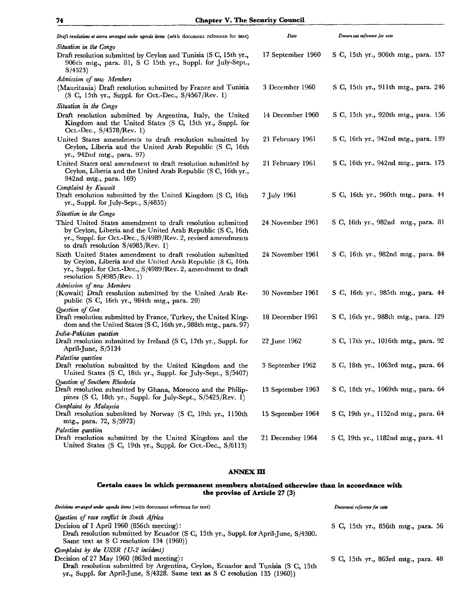| Draft resolutions et cetera arranged under agenda items (with document reference for text)                                                                                                                                       | Date              | Docum ent reference for vote         |
|----------------------------------------------------------------------------------------------------------------------------------------------------------------------------------------------------------------------------------|-------------------|--------------------------------------|
| Situation in the Congo<br>Draft resolution submitted by Ceylon and Tunisia (S C, 15th yr.,                                                                                                                                       | 17 September 1960 | S C, 15th yr., 906th mtg., para. 157 |
| 906th mtg., para. 81, S C 15th yr., Suppl. for July-Sept.,<br>S/4523                                                                                                                                                             |                   |                                      |
| Admission of new Members                                                                                                                                                                                                         |                   |                                      |
| (Mauritania) Draft resolution submitted by France and Tunisia<br>(S C, 15th yr., Suppl. for Oct.-Dec., S/4567/Rev. 1)                                                                                                            | 3 December 1960   | S C, 15th yr., 911th mtg., para. 246 |
| Situation in the Congo                                                                                                                                                                                                           |                   |                                      |
| Draft resolution submitted by Argentina, Italy, the United<br>Kingdom and the United States (S C, 15th yr., Suppl. for<br>Oct.-Dec., S/4578/Rev. 1)                                                                              | 14 December 1960  | S C, 15th yr., 920th mtg., para. 156 |
| United States amendments to draft resolution submitted by<br>Ceylon, Liberia and the United Arab Republic (S C, 16th<br>yr., 942nd mtg., para. 97)                                                                               | 21 February 1961  | S C, 16th yr., 942nd mtg., para. 139 |
| United States oral amendment to draft resolution submitted by<br>Ceylon, Liberia and the United Arab Republic (S C, 16th yr.,<br>942nd mtg., para. 169)                                                                          | 21 February 1961  | S C, 16th yr., 942nd mtg., para. 175 |
| Complaint by Kuwait<br>Draft resolution submitted by the United Kingdom (S C, 16th<br>yr., Suppl. for July-Sept., S/4855)                                                                                                        | 7 July 1961       | S C, 16th yr., 960th mtg., para. 44  |
| Situation in the Congo                                                                                                                                                                                                           |                   |                                      |
| Third United States amendment to draft resolution submitted<br>by Ceylon, Liberia and the United Arab Republic (S C, 16th<br>yr., Suppl. for Oct.-Dec., S/4989/Rev. 2, revised amendments<br>to draft resolution $S/4985/Rev. 1$ | 24 November 1961  | S C, 16th yr., 982nd mtg., para. 81  |
| Sixth United States amendment to draft resolution submitted<br>by Ceylon, Liberia and the United Arab Republic (S C, 16th<br>yr., Suppl. for Oct.-Dec., S/4989/Rev. 2, amendment to draft<br>resolution $S/4985/Rev. 1)$         | 24 November 1961  | S C, 16th yr., 982nd mtg., para. 84  |
| Admission of new Members<br>(Kuwait) Draft resolution submitted by the United Arab Re-<br>public $(S\ C, 16th yr, 984th mtg, para. 20)$                                                                                          | 30 November 1961  | S C, 16th yr., 985th mtg., para. 44  |
| Question of Goa<br>Draft resolution submitted by France, Turkey, the United King-<br>dom and the United States (S C, 16th yr., 988th mtg., para. 97)                                                                             | 18 December 1961  | S C, 16th yr., 988th mtg., para. 129 |
| India-Pakistan question<br>Draft resolution submitted by Ireland (S C, 17th yr., Suppl. for<br>April-June, S/5134                                                                                                                | 22 June 1962      | S C, 17th yr., 1016th mtg., para. 92 |
| Palestine question                                                                                                                                                                                                               |                   |                                      |
| Draft resolution submitted by the United Kingdom and the<br>United States (S C, 18th yr., Suppl. for July-Sept., S/5407)                                                                                                         | 3 September 1962  | S C, 18th yr., 1063rd mtg., para. 64 |
| Question of Southern Rhodesia<br>Draft resolution submitted by Ghana, Morocco and the Philip-<br>pines (S C, 18th yr., Suppl. for July-Sept., $S/5425/Rev. 1$ )                                                                  | 13 September 1963 | S C, 18th yr., 1069th mtg., para. 64 |
| Complaint by Malaysia<br>Draft resolution submitted by Norway (S C, 19th yr., 1150th<br>mtg., para. 72, S/5973)                                                                                                                  | 15 September 1964 | S C, 19th yr., 1152nd mtg., para. 64 |
| Palestine question                                                                                                                                                                                                               |                   |                                      |
| Draft resolution submitted by the United Kingdom and the<br>United States (S C, 19th yr., Suppl. for Oct.-Dec., S/6113)                                                                                                          | 21 December 1964  | S C, 19th yr., 1182nd mtg., para. 41 |

## **ANNEX m**

### **Certain cases in which permanent members abstained otherwise than in accordance with the proviso of Article 27** (3)

| Decisions arranged under agenda items (with document reference for text)             | Document reference for vote         |  |
|--------------------------------------------------------------------------------------|-------------------------------------|--|
| Question of race conflict in South Africa                                            |                                     |  |
| Decision of 1 April 1960 (856th meeting):                                            | S C, 15th yr., 856th mtg., para. 56 |  |
| Draft resolution submitted by Ecuador (S C, 15th yr., Suppl. for April-June, S/4300. |                                     |  |
| Same text as S C resolution 134 (1960))                                              |                                     |  |
| Complaint by the USSR (U-2 incident)                                                 |                                     |  |
| Decision of 27 May 1960 (863rd meeting):                                             | S C, 15th yr., 863rd mtg., para. 48 |  |
| Draft resolution submitted by Argentina, Ceylon, Ecuador and Tunisia (S C, 15th      |                                     |  |
| yr., Suppl. for April-June, S/4328. Same text as S C resolution 135 (1960))          |                                     |  |
|                                                                                      |                                     |  |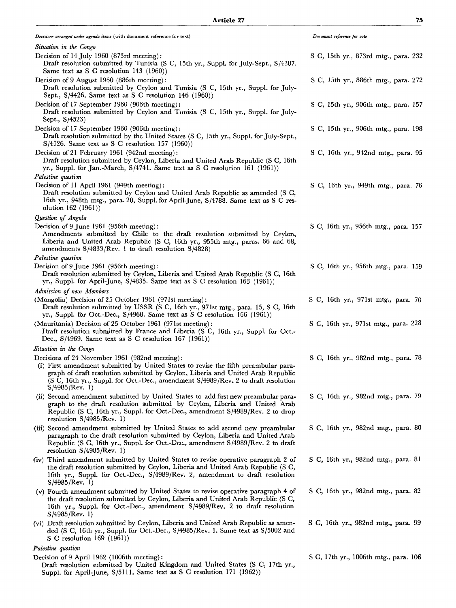| Decisions arranged under agenda items (with document reference for text)                                                                                                                                                                                                                                                        | Document reference for vote           |
|---------------------------------------------------------------------------------------------------------------------------------------------------------------------------------------------------------------------------------------------------------------------------------------------------------------------------------|---------------------------------------|
| Situation in the Congo                                                                                                                                                                                                                                                                                                          |                                       |
| Decision of 14 July 1960 (873rd meeting):<br>Draft resolution submitted by Tunisia (S C, 15th yr., Suppl. for July-Sept., S/4387.<br>Same text as S C resolution $143$ (1960))                                                                                                                                                  | S C, 15th yr., 873rd mtg., para. 232  |
| Decision of 9 August 1960 (886th meeting):<br>Draft resolution submitted by Ceylon and Tunisia (S C, 15th yr., Suppl. for July-<br>Sept., $S/4426$ . Same text as S C resolution 146 (1960))                                                                                                                                    | S C, 15th yr., 886th mtg., para. 272  |
| Decision of 17 September 1960 (906th meeting):<br>Draft resolution submitted by Ceylon and Tunisia (S C, 15th yr., Suppl. for July-<br>Sept., S/4523)                                                                                                                                                                           | S C, 15th yr., 906th mtg., para. 157  |
| Decision of 17 September 1960 (906th meeting):<br>Draft resolution submitted by the United States (S C, 15th yr., Suppl. for July-Sept.,<br>$S/4526$ . Same text as S C resolution 157 (1960))                                                                                                                                  | S C, 15th yr., 906th mtg., para. 198  |
| Decision of 21 February 1961 (942nd meeting):<br>Draft resolution submitted by Ceylon, Liberia and United Arab Republic (S C, 16th<br>yr., Suppl. for Jan.-March, $S/4741$ . Same text as S C resolution 161 (1961))                                                                                                            | S C, 16th yr., 942nd mtg., para. 95   |
| Palestine question                                                                                                                                                                                                                                                                                                              |                                       |
| Decision of 11 April 1961 (949th meeting):<br>Draft resolution submitted by Ceylon and United Arab Republic as amended (S C,<br>16th yr., 948th mtg., para. 20, Suppl. for April-June, S/4788. Same text as S C res-<br>olution 162 (1961))                                                                                     | S C, 16th yr., 949th mtg., para. 76   |
| Question of Angola                                                                                                                                                                                                                                                                                                              |                                       |
| Decision of 9 June 1961 (956th meeting):<br>Amendments submitted by Chile to the draft resolution submitted by Ceylon,<br>Liberia and United Arab Republic (S C, 16th yr., 955th mtg., paras. 66 and 68,<br>amendments $S/4833/Rev.$ 1 to draft resolution $S/4828$ )                                                           | S C, 16th yr., 956th mtg., para. 157  |
| Palestine question                                                                                                                                                                                                                                                                                                              |                                       |
| Decision of 9 June 1961 (956th meeting).<br>Draft resolution submitted by Ceylon, Liberia and United Arab Republic (S C, 16th<br>yr., Suppl. for April-June, S/4835. Same text as S C resolution 163 (1961))                                                                                                                    | S C, 16th yr., 956th mtg., para. 159  |
| Admission of new Members                                                                                                                                                                                                                                                                                                        |                                       |
| (Mongolia) Decision of 25 October 1961 (971st meeting):<br>Draft resolution submitted by USSR (S C, 16th yr., 971st mtg., para. 15, S C, 16th<br>yr., Suppl. for Oct.-Dec., S/4968. Same text as S C resolution 166 (1961))                                                                                                     | S C, 16th yr., 971st mtg., para. 70   |
| (Mauritania) Decision of 25 October 1961 (971st meeting):<br>Draft resolution submitted by France and Liberia (S C, 16th yr., Suppl. for Oct.-<br>Dec., S/4969. Same text as S C resolution 167 (1961))                                                                                                                         | S C, 16th yr., 971st mtg., para. 228  |
| Situation in the Congo                                                                                                                                                                                                                                                                                                          |                                       |
| Decisions of 24 November 1961 (982nd meeting):<br>(i) First amendment submitted by United States to revise the fifth preambular para-<br>graph of draft resolution submitted by Ceylon, Liberia and United Arab Republic<br>(S C, 16th yr., Suppl. for Oct.-Dec., amendment S/4989/Rev. 2 to draft resolution<br>S/4985/Rev. 1) | S C, 16th yr., 982nd mtg., para. 78   |
| (ii) Second amendment submitted by United States to add first new preambular para-<br>graph to the draft resolution submitted by Ceylon, Liberia and United Arab<br>Republic (S C, 16th yr., Suppl. for Oct.-Dec., amendment S/4989/Rev. 2 to drop<br>resolution $S/4985/Rev. 1)$                                               | S C, 16th yr., 982nd mtg., para. 79   |
| (iii) Second amendment submitted by United States to add second new preambular<br>paragraph to the draft resolution submitted by Ceylon, Liberia and United Arab<br>Republic (S C, 16th yr., Suppl. for Oct.-Dec., amendment S/4989/Rev. 2 to draft<br>resolution $S/4985/Rev. 1)$                                              | S C, 16th yr., 982nd mtg., para. 80   |
| (iv) Third amendment submitted by United States to revise operative paragraph 2 of<br>the draft resolution submitted by Ceylon, Liberia and United Arab Republic (S C,<br>16th yr., Suppl. for Oct.-Dec., S/4989/Rev. 2, amendment to draft resolution<br>S/4985/Rev. 1)                                                        | S C, 16th yr., 982nd mtg., para. 81   |
| (v) Fourth amendment submitted by United States to revise operative paragraph 4 of<br>the draft resolution submitted by Ceylon, Liberia and United Arab Republic (S C,<br>16th yr., Suppl. for Oct.-Dec., amendment S/4989/Rev. 2 to draft resolution<br>S/4985/Rev. 1)                                                         | S C, 16th yr., 982nd mtg., para. 82   |
| (vi) Draft resolution submitted by Ceylon, Liberia and United Arab Republic as amen-<br>ded (S C, 16th yr., Suppl. for Oct.-Dec., S/4985/Rev. 1. Same text as S/5002 and<br>S C resolution $169$ (1961))                                                                                                                        | S C, 16th yr., 982nd mtg., para. 99   |
| Palestine question                                                                                                                                                                                                                                                                                                              |                                       |
| Decision of 9 April 1962 (1006th meeting):<br>Draft resolution submitted by United Kingdom and United States (S C, 17th yr.,<br>Suppl. for April-June, S/5111. Same text as S C resolution 171 (1962))                                                                                                                          | S C, 17th yr., 1006th mtg., para. 106 |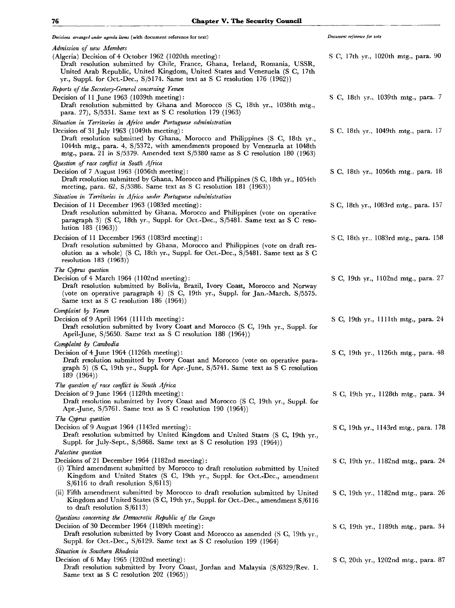*Decisions arranged under agenda items* (with document reference for text) *Admission of new Members* (Algeria) Decision of 4 October 1962 (1020th meeting): Draft resolution submitted by Chile, France, Ghana, Ireland, Romania, USSR, United Arab Republic, United Kingdom, United States and Venezuela (S C, 17th yr., Suppl. for Oct.-Dec., S/5174. Same text as S G resolution 176 (1962)) *Reports of the Secretary-General concerning Yemen* Decision of 11 June 1963 (1039th meeting) : Draft resolution submitted by Ghana and Morocco (S C, 18th yr., 1038th mtg., para. 27), S/5331. Same text as S C resolution 179 (1963) *Situation in Territories in Africa under Portuguese administration* Decision of 31 July 1963 (1049th meeting): Draft resolution submitted by Ghana, Morocco and Philippines (S C, 18th yr., 1044th mtg., para. 4, S/5372, with amendments proposed by Venezuela at 1048th mtg., para. 21 in S/5379. Amended text S/5380 same as S C resolution 180 (1963) *Question of race conflict in South Africa* Decision of 7 August 1963 (1056th meeting): Draft resolution submitted by Ghana, Morocco and Philippines (S C, 18th yr., 1054th meeting, para. 62, S/5386. Same text as S C resolution 181 (1963)) *Situation in Territories in Africa under Portuguese administration* Decision of 11 December 1963 (1083rd meeting): Draft resolution submitted by Ghana, Morocco and Philippines (vote on operative paragraph 3) (S C, 18th yr., Suppl. for Oct.-Dec., S/5481. Same text as S C resolution 183 (1963)) Decision of 11 December 1963 (1083rd meeting): Draft resolution submitted by Ghana, Morocco and Philippines (vote on draft resolution as a whole) (S C, 18th yr., Suppl. for Oct.-Dec., S/5481. Same text as S C resolution 183 (1963)) *The Cyprus question* Decision of 4 March 1964 (1102nd meeting): Draft resolution submitted by Bolivia, Brazil, Ivory Coast, Morocco and Norway (vote on operative paragraph 4) (S C, 19th yr., Suppl. for Jan.-March, S/5575. Same text as S G resolution 186 (1964)) *Complaint by Yemen* Decision of 9 April 1964 (1111th meeting) : Draft resolution submitted by Ivory Coast and Morocco (S C, 19th yr., Suppl. for April-June, S/5650. Same text as S C resolution 188 (1964)) *Complaint by Cambodia* Decision of 4 June 1964 (1126th meeting): Draft resolution submitted by Ivory Coast and Morocco (vote on operative paragraph 5) (S C, 19th yr., Suppl. for Apr.-June, S/5741. Same text as S C resolution 189 (1964)) *The question of race conflict in South Africa* Decision of 9 June 1964 (1128th meeting): Draft resolution submitted by Ivory Coast and Morocco (S C, 19th yr., Suppl. for Apr.-June, S/5761. Same text as S C resolution 190 (1964)) *The Cyprus question* Decision of 9 August 1964 (1143rd meeting) : Draft resolution submitted by United Kingdom and United States (S C, 19th yr., Suppl. for July-Sept., S/5868. Same text as S C resolution 193 (1964)) *Palestine question* Decisions of 21 December 1964 (1182nd meeting): (i) Third amendment submitted by Morocco to draft resolution submitted by United Kingdom and United States (S C, 19th yr., Suppl. for Oct.-Dec., amendment S/6116 to draft resolution S/6113) (ii) Fifth amendment submitted by Morocco to draft resolution submitted by United Kingdom and United States (S C, 19th yr., Suppl. for Oct.-Dec., amendment S/6116 to draft resolution S/6113) *Questions concerning the Democratic Republic of the Congo* Decision of 30 December 1964 (1189th meeting): Draft resolution submitted by Ivory Coast and Morocco as amended (S C, 19th yr., Suppl. for Oct.-Dec., S/6129. Same text as S C resolution 199 (1964) *Situation in Southern Rhodesia* Decision of 6 May 1965 (1202nd meeting) : Draft resolution submitted by Ivory Coast, Jordan and Malaysia (S/6329/Rev. 1. Same text as S C resolution 202 (1965)) *Document reference for vote* S C, 17th yr., 1020th mtg., para. 90 S C, 18th yr., 1039th mtg., para. 7 S C, 18th yr., 1049th mtg., para. 17 S C, 18th yr., 1056th mtg., para. 18 S C, 18th yr., 1083rd mtg., para. 157 S C, 18th yr., 1083rd mtg., para. 158 S C, 19th yr., 1102nd mtg., para. 27 S C, 19th yr., 1111th mtg., para. 24 S C, 19th yr., 1126th mtg., para. 48 S C, 19th yr., 1128th mtg., para. 34 S C, 19th yr., 1143rd mtg., para. 178 S C, 19th yr., 1182nd mtg., para. 24 S C, 19th yr., 1182nd mtg., para. 26 S C, 19th yr., 1189th mtg., para. 34 S C, 20th yr., 1202nd mtg., para. 87